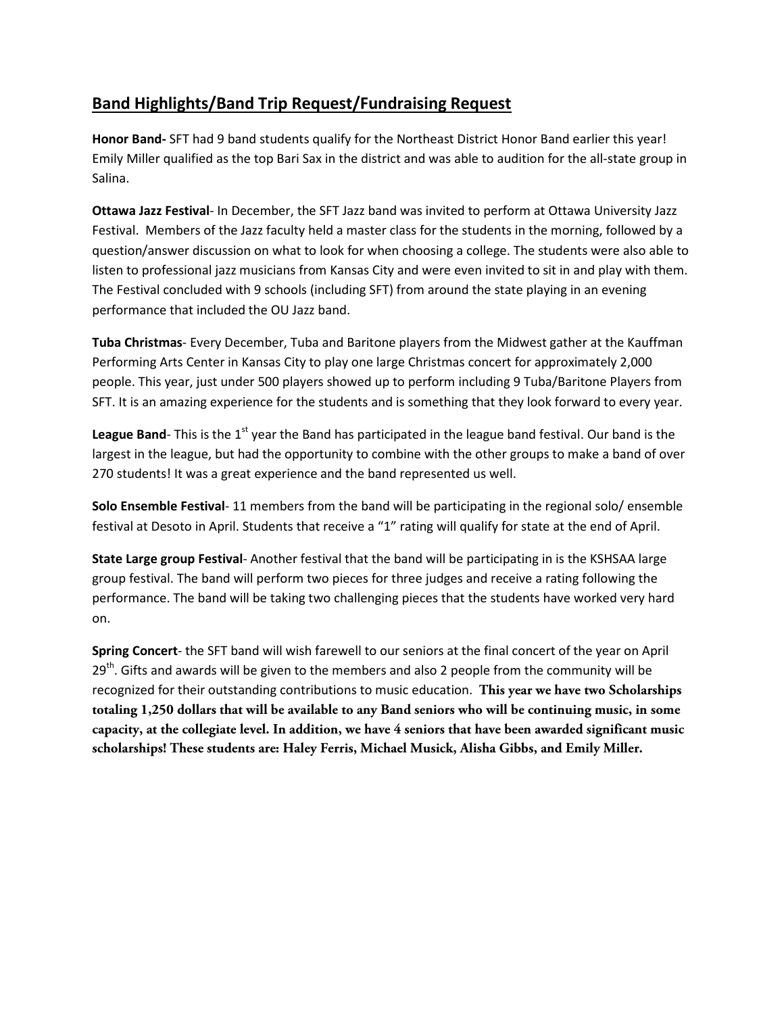## **Band Highlights/Band Trip Request/Fundraising Request**

**Honor Band-** SFT had 9 band students qualify for the Northeast District Honor Band earlier this year! Emily Miller qualified as the top Bari Sax in the district and was able to audition for the all-state group in Salina.

**Ottawa Jazz Festival**- In December, the SFT Jazz band was invited to perform at Ottawa University Jazz Festival. Members of the Jazz faculty held a master class for the students in the morning, followed by a question/answer discussion on what to look for when choosing a college. The students were also able to listen to professional jazz musicians from Kansas City and were even invited to sit in and play with them. The Festival concluded with 9 schools (including SFT) from around the state playing in an evening performance that included the OU Jazz band.

**Tuba Christmas**- Every December, Tuba and Baritone players from the Midwest gather at the Kauffman Performing Arts Center in Kansas City to play one large Christmas concert for approximately 2,000 people. This year, just under 500 players showed up to perform including 9 Tuba/Baritone Players from SFT. It is an amazing experience for the students and is something that they look forward to every year.

**League Band**- This is the 1<sup>st</sup> year the Band has participated in the league band festival. Our band is the largest in the league, but had the opportunity to combine with the other groups to make a band of over 270 students! It was a great experience and the band represented us well.

**Solo Ensemble Festival**- 11 members from the band will be participating in the regional solo/ ensemble festival at Desoto in April. Students that receive a "1" rating will qualify for state at the end of April.

**State Large group Festival**- Another festival that the band will be participating in is the KSHSAA large group festival. The band will perform two pieces for three judges and receive a rating following the performance. The band will be taking two challenging pieces that the students have worked very hard on.

**Spring Concert**- the SFT band will wish farewell to our seniors at the final concert of the year on April  $29<sup>th</sup>$ . Gifts and awards will be given to the members and also 2 people from the community will be recognized for their outstanding contributions to music education. **This year we have two Scholarships totaling 1,250 dollars that will be available to any Band seniors who will be continuing music, in some capacity, at the collegiate level. In addition, we have 4 seniors that have been awarded significant music scholarships! These students are: Haley Ferris, Michael Musick, Alisha Gibbs, and Emily Miller.**